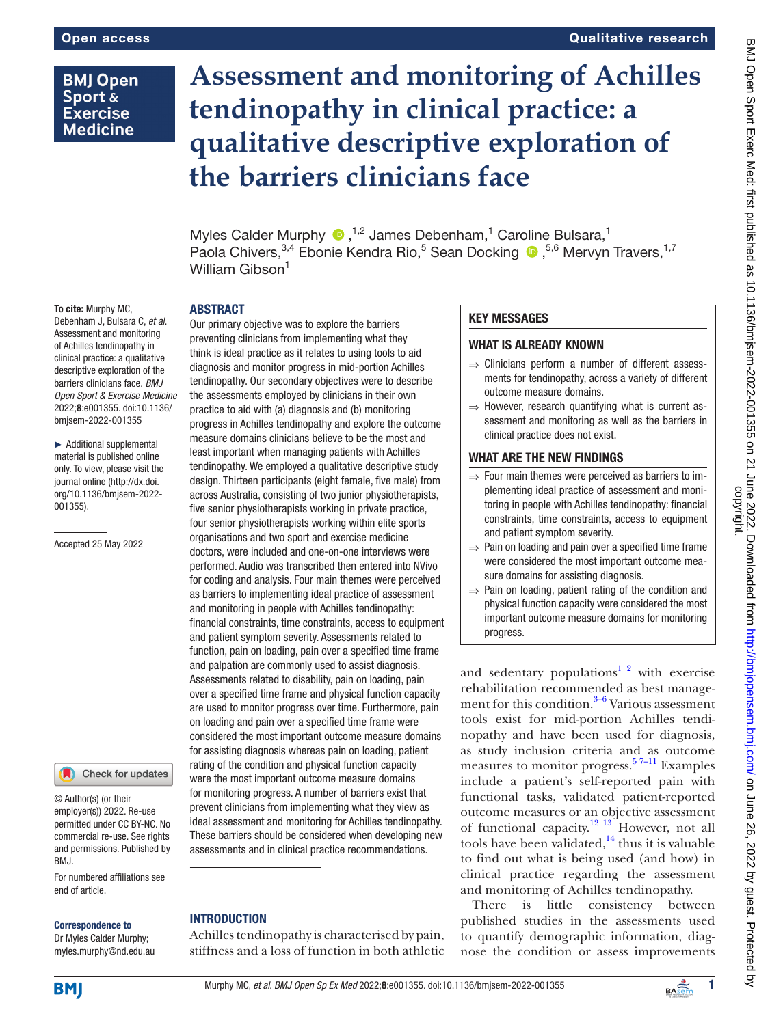# **BMJ Open** Sport & **Exercise Medicine**

# **Assessment and monitoring of Achilles tendinopathy in clinical practice: a qualitative descriptive exploration of the barriers clinicians face**

Myles Calder Murphy  $\bigcirc$ ,<sup>1,2</sup> James Debenham,<sup>1</sup> Caroline Bulsara,<sup>1</sup> Paola Chivers,<sup>3,4</sup> Ebonie Kendra Rio,<sup>5</sup> Sean Docking <sup>®</sup>,<sup>5,6</sup> Mervyn Travers,<sup>1,7</sup> William Gibson<sup>1</sup>

#### To cite: Murphy MC,

Debenham J, Bulsara C, *et al*. Assessment and monitoring of Achilles tendinopathy in clinical practice: a qualitative descriptive exploration of the barriers clinicians face. *BMJ Open Sport & Exercise Medicine* 2022;8:e001355. doi:10.1136/ bmjsem-2022-001355

ABSTRACT

► Additional supplemental material is published online only. To view, please visit the journal online ([http://dx.doi.](http://dx.doi.org/10.1136/bmjsem-2022-001355) [org/10.1136/bmjsem-2022-](http://dx.doi.org/10.1136/bmjsem-2022-001355) [001355](http://dx.doi.org/10.1136/bmjsem-2022-001355)).

Accepted 25 May 2022



© Author(s) (or their employer(s)) 2022. Re-use permitted under CC BY-NC. No commercial re-use. See rights and permissions. Published by BMJ.

For numbered affiliations see end of article.

# Correspondence to

Dr Myles Calder Murphy; myles.murphy@nd.edu.au

Our primary objective was to explore the barriers preventing clinicians from implementing what they think is ideal practice as it relates to using tools to aid diagnosis and monitor progress in mid-portion Achilles tendinopathy. Our secondary objectives were to describe the assessments employed by clinicians in their own practice to aid with (a) diagnosis and (b) monitoring progress in Achilles tendinopathy and explore the outcome measure domains clinicians believe to be the most and least important when managing patients with Achilles tendinopathy. We employed a qualitative descriptive study design. Thirteen participants (eight female, five male) from across Australia, consisting of two junior physiotherapists, five senior physiotherapists working in private practice, four senior physiotherapists working within elite sports organisations and two sport and exercise medicine doctors, were included and one-on-one interviews were performed. Audio was transcribed then entered into NVivo for coding and analysis. Four main themes were perceived as barriers to implementing ideal practice of assessment and monitoring in people with Achilles tendinopathy: financial constraints, time constraints, access to equipment and patient symptom severity. Assessments related to function, pain on loading, pain over a specified time frame and palpation are commonly used to assist diagnosis. Assessments related to disability, pain on loading, pain over a specified time frame and physical function capacity are used to monitor progress over time. Furthermore, pain on loading and pain over a specified time frame were considered the most important outcome measure domains for assisting diagnosis whereas pain on loading, patient rating of the condition and physical function capacity were the most important outcome measure domains for monitoring progress. A number of barriers exist that prevent clinicians from implementing what they view as ideal assessment and monitoring for Achilles tendinopathy. These barriers should be considered when developing new assessments and in clinical practice recommendations.

# **INTRODUCTION**

Achilles tendinopathy is characterised by pain, stiffness and a loss of function in both athletic

#### KEY MESSAGES

#### WHAT IS ALREADY KNOWN

- ⇒ Clinicians perform a number of different assessments for tendinopathy, across a variety of different outcome measure domains.
- $\Rightarrow$  However, research quantifying what is current assessment and monitoring as well as the barriers in clinical practice does not exist.

## WHAT ARE THE NEW FINDINGS

- $\Rightarrow$  Four main themes were perceived as barriers to implementing ideal practice of assessment and monitoring in people with Achilles tendinopathy: financial constraints, time constraints, access to equipment and patient symptom severity.
- ⇒ Pain on loading and pain over a specified time frame were considered the most important outcome measure domains for assisting diagnosis.
- $\Rightarrow$  Pain on loading, patient rating of the condition and physical function capacity were considered the most important outcome measure domains for monitoring progress.

and sedentary populations<sup>[1 2](#page-9-0)</sup> with exercise rehabilitation recommended as best management for this condition.<sup>3–6</sup> Various assessment tools exist for mid-portion Achilles tendinopathy and have been used for diagnosis, as study inclusion criteria and as outcome measures to monitor progress[.5 7–11](#page-9-2) Examples include a patient's self-reported pain with functional tasks, validated patient-reported outcome measures or an objective assessment of functional capacity. $12^{13}$  However, not all tools have been validated, $14$  thus it is valuable to find out what is being used (and how) in clinical practice regarding the assessment and monitoring of Achilles tendinopathy.

There is little consistency between published studies in the assessments used to quantify demographic information, diagnose the condition or assess improvements

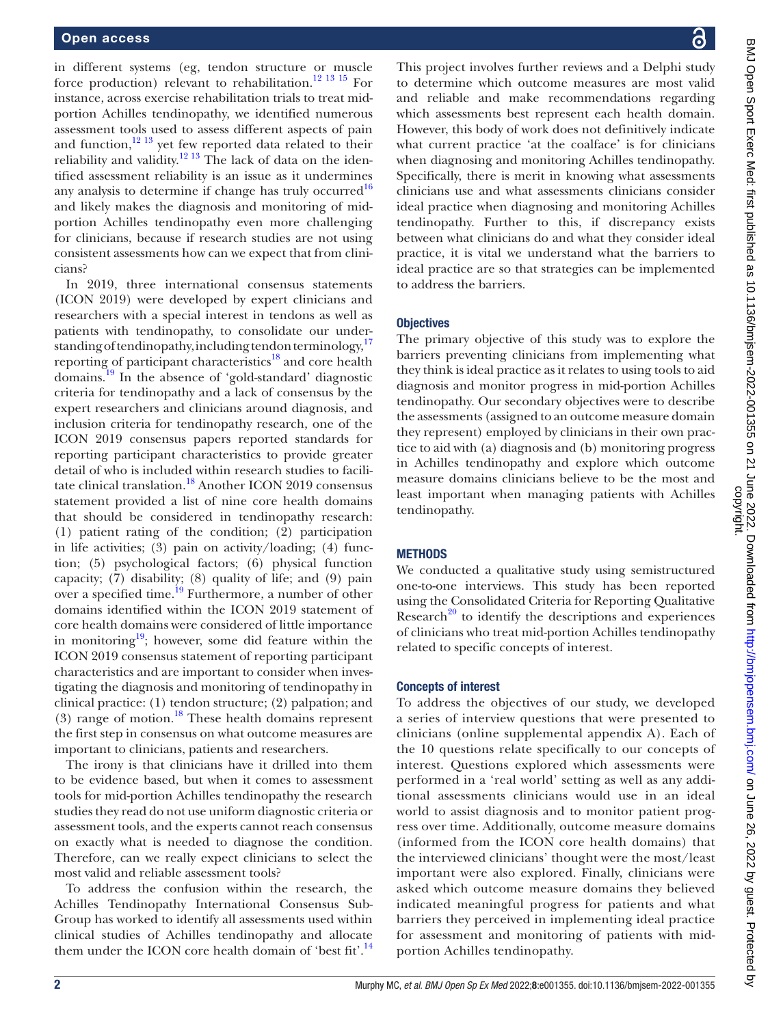in different systems (eg, tendon structure or muscle force production) relevant to rehabilitation.<sup>12</sup> <sup>13</sup> <sup>15</sup> For instance, across exercise rehabilitation trials to treat midportion Achilles tendinopathy, we identified numerous assessment tools used to assess different aspects of pain and function, $12 \times 13$  yet few reported data related to their reliability and validity.<sup>12 13</sup> The lack of data on the identified assessment reliability is an issue as it undermines any analysis to determine if change has truly occurred<sup>16</sup> and likely makes the diagnosis and monitoring of midportion Achilles tendinopathy even more challenging for clinicians, because if research studies are not using consistent assessments how can we expect that from clinicians?

In 2019, three international consensus statements (ICON 2019) were developed by expert clinicians and researchers with a special interest in tendons as well as patients with tendinopathy, to consolidate our understanding of tendinopathy, including tendon terminology,  $17$ reporting of participant characteristics<sup>18</sup> and core health domains.[19](#page-10-5) In the absence of 'gold-standard' diagnostic criteria for tendinopathy and a lack of consensus by the expert researchers and clinicians around diagnosis, and inclusion criteria for tendinopathy research, one of the ICON 2019 consensus papers reported standards for reporting participant characteristics to provide greater detail of who is included within research studies to facilitate clinical translation.<sup>18</sup> Another ICON 2019 consensus statement provided a list of nine core health domains that should be considered in tendinopathy research: (1) patient rating of the condition; (2) participation in life activities; (3) pain on activity/loading; (4) function; (5) psychological factors; (6) physical function capacity; (7) disability; (8) quality of life; and (9) pain over a specified time[.19](#page-10-5) Furthermore, a number of other domains identified within the ICON 2019 statement of core health domains were considered of little importance in monitoring<sup>19</sup>; however, some did feature within the ICON 2019 consensus statement of reporting participant characteristics and are important to consider when investigating the diagnosis and monitoring of tendinopathy in clinical practice: (1) tendon structure; (2) palpation; and (3) range of motion.<sup>18</sup> These health domains represent the first step in consensus on what outcome measures are important to clinicians, patients and researchers.

The irony is that clinicians have it drilled into them to be evidence based, but when it comes to assessment tools for mid-portion Achilles tendinopathy the research studies they read do not use uniform diagnostic criteria or assessment tools, and the experts cannot reach consensus on exactly what is needed to diagnose the condition. Therefore, can we really expect clinicians to select the most valid and reliable assessment tools?

To address the confusion within the research, the Achilles Tendinopathy International Consensus Sub-Group has worked to identify all assessments used within clinical studies of Achilles tendinopathy and allocate them under the ICON core health domain of 'best fit'.<sup>14</sup>

BMJ Open Sport Exerc Med: first published as 10.1136/bmjsem-2022-001355 on 21 June 2022. Downloaded from http://bmjopensem.bmj.com/ on June 26, 2022 by guest. Protected by<br>copyright. BMJ Open Sport Exerc Med: first published as 10.1136/bmjsem-2022-001355 on 21 June 2022. Downloaded from <http://bmjopensem.bmj.com/> on June 26, 2022 by guest. Protected by

This project involves further reviews and a Delphi study to determine which outcome measures are most valid and reliable and make recommendations regarding which assessments best represent each health domain. However, this body of work does not definitively indicate what current practice 'at the coalface' is for clinicians when diagnosing and monitoring Achilles tendinopathy. Specifically, there is merit in knowing what assessments clinicians use and what assessments clinicians consider ideal practice when diagnosing and monitoring Achilles tendinopathy. Further to this, if discrepancy exists between what clinicians do and what they consider ideal practice, it is vital we understand what the barriers to ideal practice are so that strategies can be implemented to address the barriers.

#### **Objectives**

The primary objective of this study was to explore the barriers preventing clinicians from implementing what they think is ideal practice as it relates to using tools to aid diagnosis and monitor progress in mid-portion Achilles tendinopathy. Our secondary objectives were to describe the assessments (assigned to an outcome measure domain they represent) employed by clinicians in their own practice to aid with (a) diagnosis and (b) monitoring progress in Achilles tendinopathy and explore which outcome measure domains clinicians believe to be the most and least important when managing patients with Achilles tendinopathy.

# **METHODS**

We conducted a qualitative study using semistructured one-to-one interviews. This study has been reported using the Consolidated Criteria for Reporting Qualitative Research<sup>20</sup> to identify the descriptions and experiences of clinicians who treat mid-portion Achilles tendinopathy related to specific concepts of interest.

#### Concepts of interest

To address the objectives of our study, we developed a series of interview questions that were presented to clinicians [\(online supplemental appendix A\)](https://dx.doi.org/10.1136/bmjsem-2022-001355). Each of the 10 questions relate specifically to our concepts of interest. Questions explored which assessments were performed in a 'real world' setting as well as any additional assessments clinicians would use in an ideal world to assist diagnosis and to monitor patient progress over time. Additionally, outcome measure domains (informed from the ICON core health domains) that the interviewed clinicians' thought were the most/least important were also explored. Finally, clinicians were asked which outcome measure domains they believed indicated meaningful progress for patients and what barriers they perceived in implementing ideal practice for assessment and monitoring of patients with midportion Achilles tendinopathy.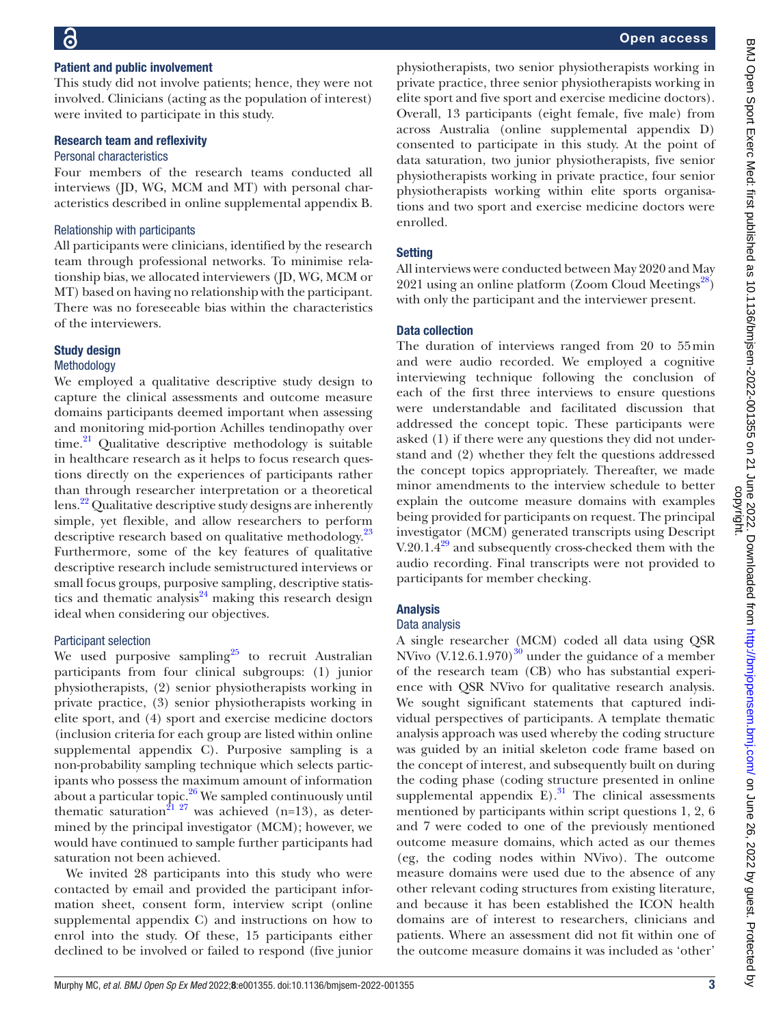#### Patient and public involvement

This study did not involve patients; hence, they were not involved. Clinicians (acting as the population of interest) were invited to participate in this study.

### Research team and reflexivity

#### Personal characteristics

Four members of the research teams conducted all interviews (JD, WG, MCM and MT) with personal characteristics described in [online supplemental appendix B.](https://dx.doi.org/10.1136/bmjsem-2022-001355)

#### Relationship with participants

All participants were clinicians, identified by the research team through professional networks. To minimise relationship bias, we allocated interviewers (JD, WG, MCM or MT) based on having no relationship with the participant. There was no foreseeable bias within the characteristics of the interviewers.

#### Study design

#### **Methodology**

We employed a qualitative descriptive study design to capture the clinical assessments and outcome measure domains participants deemed important when assessing and monitoring mid-portion Achilles tendinopathy over time.<sup>21</sup> Qualitative descriptive methodology is suitable in healthcare research as it helps to focus research questions directly on the experiences of participants rather than through researcher interpretation or a theoretical lens[.22](#page-10-8) Qualitative descriptive study designs are inherently simple, yet flexible, and allow researchers to perform descriptive research based on qualitative methodology.<sup>23</sup> Furthermore, some of the key features of qualitative descriptive research include semistructured interviews or small focus groups, purposive sampling, descriptive statistics and thematic analysis $24$  making this research design ideal when considering our objectives.

#### Participant selection

We used purposive sampling<sup>25</sup> to recruit Australian participants from four clinical subgroups: (1) junior physiotherapists, (2) senior physiotherapists working in private practice, (3) senior physiotherapists working in elite sport, and (4) sport and exercise medicine doctors (inclusion criteria for each group are listed within [online](https://dx.doi.org/10.1136/bmjsem-2022-001355) [supplemental appendix C](https://dx.doi.org/10.1136/bmjsem-2022-001355)). Purposive sampling is a non-probability sampling technique which selects participants who possess the maximum amount of information about a particular topic. $26$  We sampled continuously until thematic saturation<sup>21 27</sup> was achieved (n=13), as determined by the principal investigator (MCM); however, we would have continued to sample further participants had saturation not been achieved.

We invited 28 participants into this study who were contacted by email and provided the participant information sheet, consent form, interview script [\(online](https://dx.doi.org/10.1136/bmjsem-2022-001355) [supplemental appendix C](https://dx.doi.org/10.1136/bmjsem-2022-001355)) and instructions on how to enrol into the study. Of these, 15 participants either declined to be involved or failed to respond (five junior

physiotherapists, two senior physiotherapists working in private practice, three senior physiotherapists working in elite sport and five sport and exercise medicine doctors). Overall, 13 participants (eight female, five male) from across Australia ([online supplemental appendix D\)](https://dx.doi.org/10.1136/bmjsem-2022-001355) consented to participate in this study. At the point of data saturation, two junior physiotherapists, five senior physiotherapists working in private practice, four senior physiotherapists working within elite sports organisations and two sport and exercise medicine doctors were enrolled.

#### **Setting**

All interviews were conducted between May 2020 and May 2021 using an online platform (Zoom Cloud Meetings<sup>28</sup>) with only the participant and the interviewer present.

#### Data collection

The duration of interviews ranged from 20 to 55min and were audio recorded. We employed a cognitive interviewing technique following the conclusion of each of the first three interviews to ensure questions were understandable and facilitated discussion that addressed the concept topic. These participants were asked (1) if there were any questions they did not understand and (2) whether they felt the questions addressed the concept topics appropriately. Thereafter, we made minor amendments to the interview schedule to better explain the outcome measure domains with examples being provided for participants on request. The principal investigator (MCM) generated transcripts using Descript V.20.1. $4^{29}$  and subsequently cross-checked them with the audio recording. Final transcripts were not provided to participants for member checking.

# Analysis

#### Data analysis

A single researcher (MCM) coded all data using QSR NVivo  $(V.12.6.1.970)^{30}$  $(V.12.6.1.970)^{30}$  $(V.12.6.1.970)^{30}$  under the guidance of a member of the research team (CB) who has substantial experience with QSR NVivo for qualitative research analysis. We sought significant statements that captured individual perspectives of participants. A template thematic analysis approach was used whereby the coding structure was guided by an initial skeleton code frame based on the concept of interest, and subsequently built on during the coding phase (coding structure presented in [online](https://dx.doi.org/10.1136/bmjsem-2022-001355) supplemental appendix  $E$ ).<sup>31</sup> The clinical assessments mentioned by participants within script questions 1, 2, 6 and 7 were coded to one of the previously mentioned outcome measure domains, which acted as our themes (eg, the coding nodes within NVivo). The outcome measure domains were used due to the absence of any other relevant coding structures from existing literature, and because it has been established the ICON health domains are of interest to researchers, clinicians and patients. Where an assessment did not fit within one of the outcome measure domains it was included as 'other'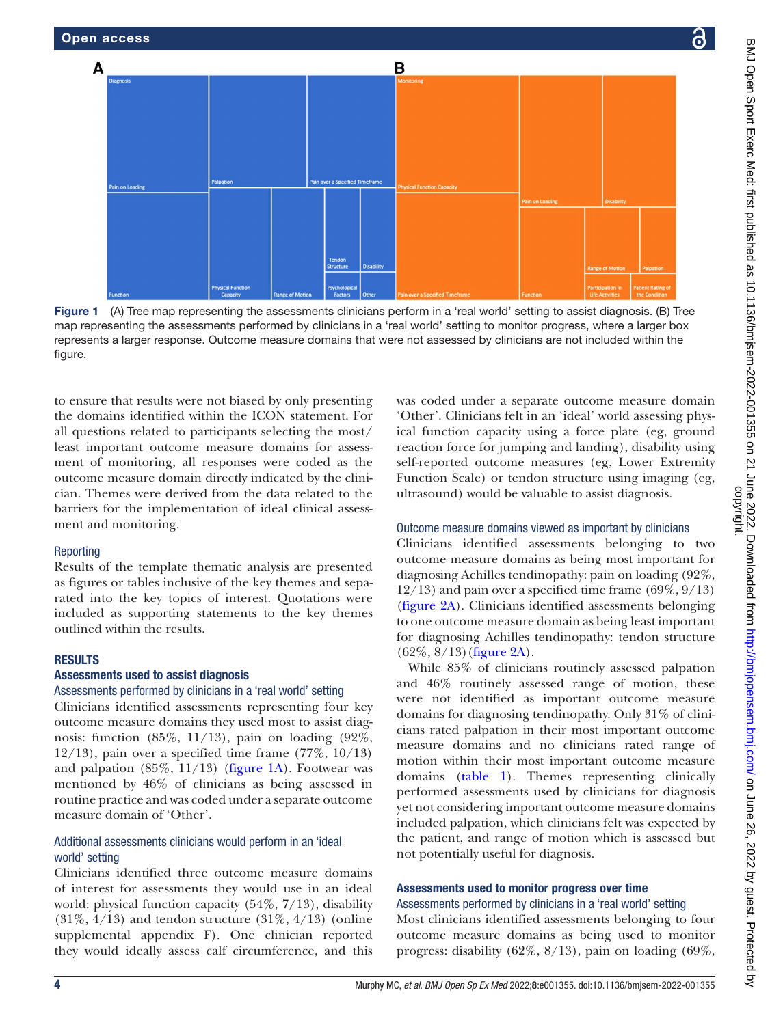Δ



to ensure that results were not biased by only presenting the domains identified within the ICON statement. For all questions related to participants selecting the most/ least important outcome measure domains for assessment of monitoring, all responses were coded as the outcome measure domain directly indicated by the clinician. Themes were derived from the data related to the barriers for the implementation of ideal clinical assessment and monitoring.

#### Reporting

<span id="page-3-0"></span>figure.

Results of the template thematic analysis are presented as figures or tables inclusive of the key themes and separated into the key topics of interest. Quotations were included as supporting statements to the key themes outlined within the results.

# RESULTS

#### Assessments used to assist diagnosis

#### Assessments performed by clinicians in a 'real world' setting

Clinicians identified assessments representing four key outcome measure domains they used most to assist diagnosis: function  $(85\%, 11/13)$ , pain on loading  $(92\%,$ 12/13), pain over a specified time frame  $(77\%, 10/13)$ and palpation  $(85\%, 11/13)$  [\(figure](#page-3-0) 1A). Footwear was mentioned by 46% of clinicians as being assessed in routine practice and was coded under a separate outcome measure domain of 'Other'.

# Additional assessments clinicians would perform in an 'ideal world' setting

Clinicians identified three outcome measure domains of interest for assessments they would use in an ideal world: physical function capacity (54%, 7/13), disability  $(31\%, \frac{4}{13})$  and tendon structure  $(31\%, \frac{4}{13})$  [\(online](https://dx.doi.org/10.1136/bmjsem-2022-001355) [supplemental appendix F](https://dx.doi.org/10.1136/bmjsem-2022-001355)). One clinician reported they would ideally assess calf circumference, and this

was coded under a separate outcome measure domain 'Other'. Clinicians felt in an 'ideal' world assessing physical function capacity using a force plate (eg, ground reaction force for jumping and landing), disability using self-reported outcome measures (eg, Lower Extremity Function Scale) or tendon structure using imaging (eg, ultrasound) would be valuable to assist diagnosis.

# Outcome measure domains viewed as important by clinicians

Clinicians identified assessments belonging to two outcome measure domains as being most important for diagnosing Achilles tendinopathy: pain on loading (92%,  $12/13$ ) and pain over a specified time frame (69\%, 9\, 9\, 9\, 13) [\(figure](#page-4-0) 2A). Clinicians identified assessments belonging to one outcome measure domain as being least important for diagnosing Achilles tendinopathy: tendon structure  $(62\%, 8/13)$  [\(figure](#page-4-0) 2A).

While 85% of clinicians routinely assessed palpation and 46% routinely assessed range of motion, these were not identified as important outcome measure domains for diagnosing tendinopathy. Only 31% of clinicians rated palpation in their most important outcome measure domains and no clinicians rated range of motion within their most important outcome measure domains [\(table](#page-4-1) 1). Themes representing clinically performed assessments used by clinicians for diagnosis yet not considering important outcome measure domains included palpation, which clinicians felt was expected by the patient, and range of motion which is assessed but not potentially useful for diagnosis.

# Assessments used to monitor progress over time

# Assessments performed by clinicians in a 'real world' setting

Most clinicians identified assessments belonging to four outcome measure domains as being used to monitor progress: disability  $(62\%, 8/13)$ , pain on loading  $(69\%,$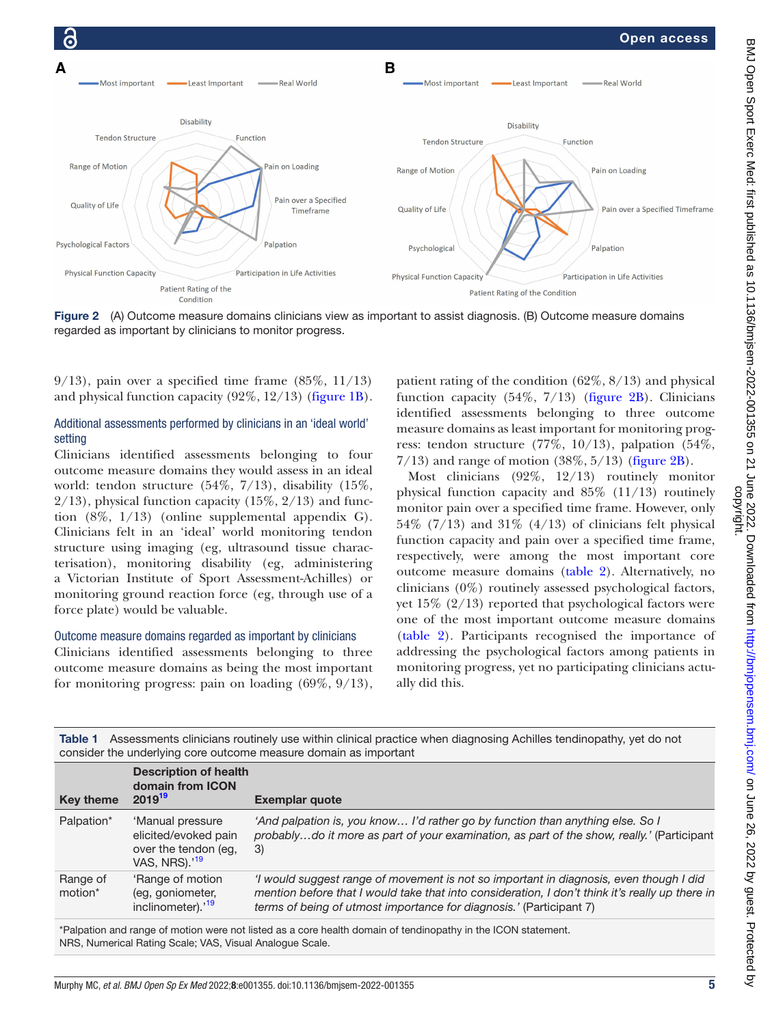Open access



<span id="page-4-0"></span>

 $9/13$ , pain over a specified time frame  $(85\%, 11/13)$ and physical function capacity (92%, 12/13) [\(figure](#page-3-0) 1B).

# Additional assessments performed by clinicians in an 'ideal world' setting

Clinicians identified assessments belonging to four outcome measure domains they would assess in an ideal world: tendon structure (54%, 7/13), disability (15%,  $2/13$ ), physical function capacity (15\%, 2\times) and function (8%, 1/13) [\(online supplemental appendix G](https://dx.doi.org/10.1136/bmjsem-2022-001355)). Clinicians felt in an 'ideal' world monitoring tendon structure using imaging (eg, ultrasound tissue characterisation), monitoring disability (eg, administering a Victorian Institute of Sport Assessment-Achilles) or monitoring ground reaction force (eg, through use of a force plate) would be valuable.

#### Outcome measure domains regarded as important by clinicians

Clinicians identified assessments belonging to three outcome measure domains as being the most important for monitoring progress: pain on loading (69%, 9/13),

patient rating of the condition  $(62\%, 8/13)$  and physical function capacity  $(54\%, 7/13)$  ([figure](#page-4-0) 2B). Clinicians identified assessments belonging to three outcome measure domains as least important for monitoring progress: tendon structure (77%, 10/13), palpation (54%,  $7/13$ ) and range of motion  $(38\%, 5/13)$  ([figure](#page-4-0) 2B).

Most clinicians (92%, 12/13) routinely monitor physical function capacity and 85% (11/13) routinely monitor pain over a specified time frame. However, only 54% (7/13) and 31% (4/13) of clinicians felt physical function capacity and pain over a specified time frame, respectively, were among the most important core outcome measure domains ([table](#page-5-0) 2). Alternatively, no clinicians (0%) routinely assessed psychological factors, yet 15% (2/13) reported that psychological factors were one of the most important outcome measure domains [\(table](#page-5-0) 2). Participants recognised the importance of addressing the psychological factors among patients in monitoring progress, yet no participating clinicians actually did this.

<span id="page-4-1"></span>

|                                                                  | Table 1 Assessments clinicians routinely use within clinical practice when diagnosing Achilles tendinopathy, yet do not |  |
|------------------------------------------------------------------|-------------------------------------------------------------------------------------------------------------------------|--|
| consider the underlying core outcome measure domain as important |                                                                                                                         |  |
|                                                                  |                                                                                                                         |  |

| <b>Key theme</b>                | <b>Description of health</b><br>domain from ICON<br>$2019^{19}$                               | <b>Exemplar quote</b>                                                                                                                                                                                                                                            |
|---------------------------------|-----------------------------------------------------------------------------------------------|------------------------------------------------------------------------------------------------------------------------------------------------------------------------------------------------------------------------------------------------------------------|
| Palpation*                      | 'Manual pressure<br>elicited/evoked pain<br>over the tendon (eq.<br>VAS, NRS).' <sup>19</sup> | 'And palpation is, you know I'd rather go by function than anything else. So I<br>probablydo it more as part of your examination, as part of the show, really.' (Participant<br>3)                                                                               |
| Range of<br>motion <sup>*</sup> | 'Range of motion<br>(eg, goniometer,<br>inclinometer). <sup>19</sup>                          | 'I would suggest range of movement is not so important in diagnosis, even though I did<br>mention before that I would take that into consideration, I don't think it's really up there in<br>terms of being of utmost importance for diagnosis.' (Participant 7) |

\*Palpation and range of motion were not listed as a core health domain of tendinopathy in the ICON statement. NRS, Numerical Rating Scale; VAS, Visual Analogue Scale.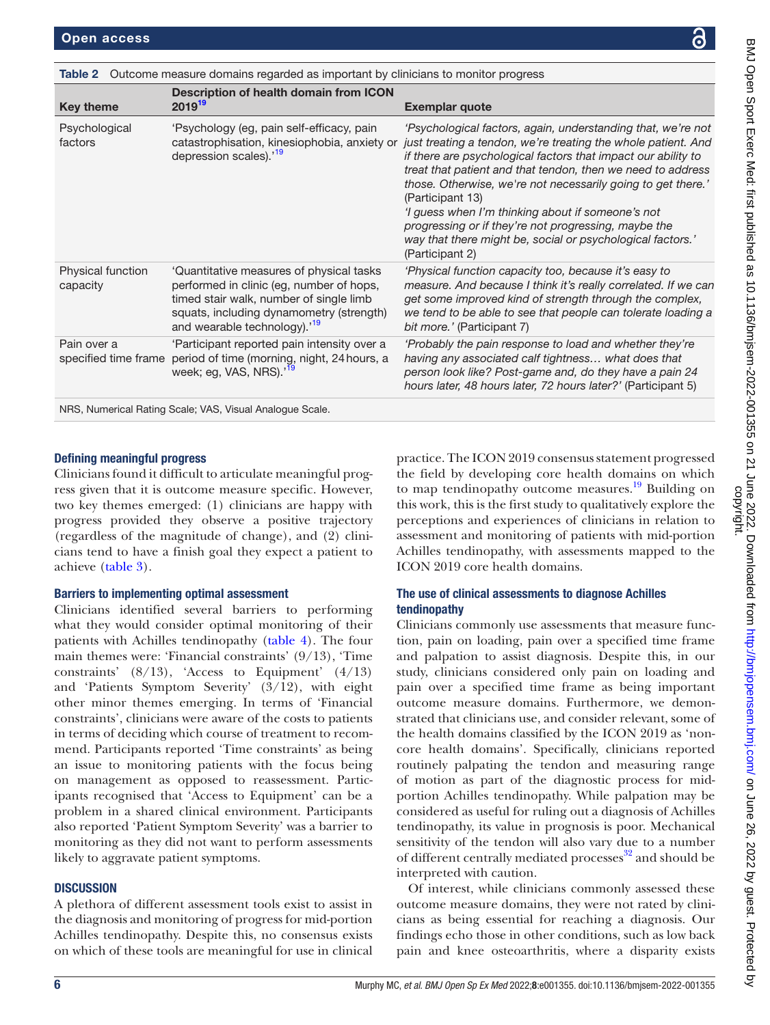<span id="page-5-0"></span>

| <b>Table 2</b> Outcome measure domains regarded as important by clinicians to monitor progress |                                                                                                                                                                                                                         |                                                                                                                                                                                                                                                                                                                                                                                                                                                                                                                                                 |  |
|------------------------------------------------------------------------------------------------|-------------------------------------------------------------------------------------------------------------------------------------------------------------------------------------------------------------------------|-------------------------------------------------------------------------------------------------------------------------------------------------------------------------------------------------------------------------------------------------------------------------------------------------------------------------------------------------------------------------------------------------------------------------------------------------------------------------------------------------------------------------------------------------|--|
| <b>Key theme</b>                                                                               | Description of health domain from ICON<br>2019 <sup>19</sup>                                                                                                                                                            | <b>Exemplar quote</b>                                                                                                                                                                                                                                                                                                                                                                                                                                                                                                                           |  |
| Psychological<br>factors                                                                       | 'Psychology (eg, pain self-efficacy, pain<br>catastrophisation, kinesiophobia, anxiety or<br>depression scales). <sup>19</sup>                                                                                          | 'Psychological factors, again, understanding that, we're not<br>just treating a tendon, we're treating the whole patient. And<br>if there are psychological factors that impact our ability to<br>treat that patient and that tendon, then we need to address<br>those. Otherwise, we're not necessarily going to get there.'<br>(Participant 13)<br>'I guess when I'm thinking about if someone's not<br>progressing or if they're not progressing, maybe the<br>way that there might be, social or psychological factors.'<br>(Participant 2) |  |
| Physical function<br>capacity                                                                  | 'Quantitative measures of physical tasks<br>performed in clinic (eg, number of hops,<br>timed stair walk, number of single limb<br>squats, including dynamometry (strength)<br>and wearable technology).' <sup>19</sup> | 'Physical function capacity too, because it's easy to<br>measure. And because I think it's really correlated. If we can<br>get some improved kind of strength through the complex,<br>we tend to be able to see that people can tolerate loading a<br>bit more.' (Participant 7)                                                                                                                                                                                                                                                                |  |
| Pain over a<br>specified time frame                                                            | 'Participant reported pain intensity over a<br>period of time (morning, night, 24 hours, a<br>week; eg, VAS, NRS).' <sup>19</sup>                                                                                       | 'Probably the pain response to load and whether they're<br>having any associated calf tightness what does that<br>person look like? Post-game and, do they have a pain 24<br>hours later, 48 hours later, 72 hours later?' (Participant 5)                                                                                                                                                                                                                                                                                                      |  |
| NRS, Numerical Rating Scale; VAS, Visual Analogue Scale.                                       |                                                                                                                                                                                                                         |                                                                                                                                                                                                                                                                                                                                                                                                                                                                                                                                                 |  |
| and the two courses and the collection construction                                            |                                                                                                                                                                                                                         | T1 T00110010                                                                                                                                                                                                                                                                                                                                                                                                                                                                                                                                    |  |

# Defining meaningful progress

Clinicians found it difficult to articulate meaningful progress given that it is outcome measure specific. However, two key themes emerged: (1) clinicians are happy with progress provided they observe a positive trajectory (regardless of the magnitude of change), and (2) clinicians tend to have a finish goal they expect a patient to achieve [\(table](#page-6-0) 3).

# Barriers to implementing optimal assessment

Clinicians identified several barriers to performing what they would consider optimal monitoring of their patients with Achilles tendinopathy [\(table](#page-7-0) 4). The four main themes were: 'Financial constraints' (9/13), 'Time constraints'  $(8/13)$ , 'Access to Equipment'  $(4/13)$ and 'Patients Symptom Severity' (3/12), with eight other minor themes emerging. In terms of 'Financial constraints', clinicians were aware of the costs to patients in terms of deciding which course of treatment to recommend. Participants reported 'Time constraints' as being an issue to monitoring patients with the focus being on management as opposed to reassessment. Participants recognised that 'Access to Equipment' can be a problem in a shared clinical environment. Participants also reported 'Patient Symptom Severity' was a barrier to monitoring as they did not want to perform assessments likely to aggravate patient symptoms.

# **DISCUSSION**

A plethora of different assessment tools exist to assist in the diagnosis and monitoring of progress for mid-portion Achilles tendinopathy. Despite this, no consensus exists on which of these tools are meaningful for use in clinical

practice. The ICON 2019 consensus statement progressed the field by developing core health domains on which to map tendinopathy outcome measures.<sup>19</sup> Building on this work, this is the first study to qualitatively explore the perceptions and experiences of clinicians in relation to assessment and monitoring of patients with mid-portion Achilles tendinopathy, with assessments mapped to the ICON 2019 core health domains.

# The use of clinical assessments to diagnose Achilles tendinopathy

Clinicians commonly use assessments that measure function, pain on loading, pain over a specified time frame and palpation to assist diagnosis. Despite this, in our study, clinicians considered only pain on loading and pain over a specified time frame as being important outcome measure domains. Furthermore, we demonstrated that clinicians use, and consider relevant, some of the health domains classified by the ICON 2019 as 'noncore health domains'. Specifically, clinicians reported routinely palpating the tendon and measuring range of motion as part of the diagnostic process for midportion Achilles tendinopathy. While palpation may be considered as useful for ruling out a diagnosis of Achilles tendinopathy, its value in prognosis is poor. Mechanical sensitivity of the tendon will also vary due to a number of different centrally mediated processes<sup>[32](#page-10-17)</sup> and should be interpreted with caution.

Of interest, while clinicians commonly assessed these outcome measure domains, they were not rated by clinicians as being essential for reaching a diagnosis. Our findings echo those in other conditions, such as low back pain and knee osteoarthritis, where a disparity exists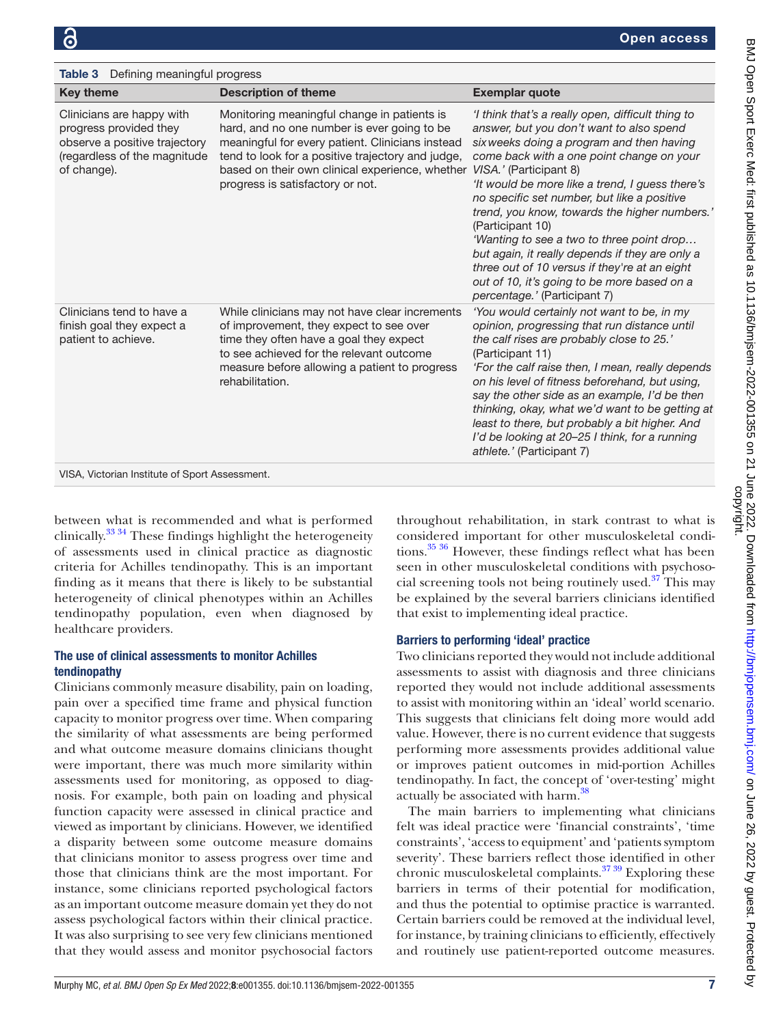<span id="page-6-0"></span>

| <b>Table 3</b> Defining meaningful progress                                                                                         |                                                                                                                                                                                                                                                                                            |                                                                                                                                                                                                                                                                                                                                                                                                                                                                                                                                                                                                                                 |  |  |
|-------------------------------------------------------------------------------------------------------------------------------------|--------------------------------------------------------------------------------------------------------------------------------------------------------------------------------------------------------------------------------------------------------------------------------------------|---------------------------------------------------------------------------------------------------------------------------------------------------------------------------------------------------------------------------------------------------------------------------------------------------------------------------------------------------------------------------------------------------------------------------------------------------------------------------------------------------------------------------------------------------------------------------------------------------------------------------------|--|--|
| <b>Key theme</b>                                                                                                                    | <b>Description of theme</b>                                                                                                                                                                                                                                                                | <b>Exemplar quote</b>                                                                                                                                                                                                                                                                                                                                                                                                                                                                                                                                                                                                           |  |  |
| Clinicians are happy with<br>progress provided they<br>observe a positive trajectory<br>(regardless of the magnitude<br>of change). | Monitoring meaningful change in patients is<br>hard, and no one number is ever going to be<br>meaningful for every patient. Clinicians instead<br>tend to look for a positive trajectory and judge,<br>based on their own clinical experience, whether<br>progress is satisfactory or not. | 'I think that's a really open, difficult thing to<br>answer, but you don't want to also spend<br>six weeks doing a program and then having<br>come back with a one point change on your<br>VISA.' (Participant 8)<br>'It would be more like a trend, I guess there's<br>no specific set number, but like a positive<br>trend, you know, towards the higher numbers.'<br>(Participant 10)<br>'Wanting to see a two to three point drop<br>but again, it really depends if they are only a<br>three out of 10 versus if they're at an eight<br>out of 10, it's going to be more based on a<br><i>percentage.'</i> (Participant 7) |  |  |
| Clinicians tend to have a<br>finish goal they expect a<br>patient to achieve.                                                       | While clinicians may not have clear increments<br>of improvement, they expect to see over<br>time they often have a goal they expect<br>to see achieved for the relevant outcome<br>measure before allowing a patient to progress<br>rehabilitation.                                       | 'You would certainly not want to be, in my<br>opinion, progressing that run distance until<br>the calf rises are probably close to 25.'<br>(Participant 11)<br>'For the calf raise then, I mean, really depends<br>on his level of fitness beforehand, but using,<br>say the other side as an example, I'd be then<br>thinking, okay, what we'd want to be getting at<br>least to there, but probably a bit higher. And<br>I'd be looking at 20-25 I think, for a running<br>athlete.' (Participant 7)                                                                                                                          |  |  |
| VISA, Victorian Institute of Sport Assessment.                                                                                      |                                                                                                                                                                                                                                                                                            |                                                                                                                                                                                                                                                                                                                                                                                                                                                                                                                                                                                                                                 |  |  |

between what is recommended and what is performed clinically[.33 34](#page-10-18) These findings highlight the heterogeneity of assessments used in clinical practice as diagnostic criteria for Achilles tendinopathy. This is an important finding as it means that there is likely to be substantial heterogeneity of clinical phenotypes within an Achilles tendinopathy population, even when diagnosed by healthcare providers.

# The use of clinical assessments to monitor Achilles tendinopathy

Clinicians commonly measure disability, pain on loading, pain over a specified time frame and physical function capacity to monitor progress over time. When comparing the similarity of what assessments are being performed and what outcome measure domains clinicians thought were important, there was much more similarity within assessments used for monitoring, as opposed to diagnosis. For example, both pain on loading and physical function capacity were assessed in clinical practice and viewed as important by clinicians. However, we identified a disparity between some outcome measure domains that clinicians monitor to assess progress over time and those that clinicians think are the most important. For instance, some clinicians reported psychological factors as an important outcome measure domain yet they do not assess psychological factors within their clinical practice. It was also surprising to see very few clinicians mentioned that they would assess and monitor psychosocial factors

throughout rehabilitation, in stark contrast to what is considered important for other musculoskeletal conditions.<sup>35 36</sup> However, these findings reflect what has been seen in other musculoskeletal conditions with psychosocial screening tools not being routinely used.[37](#page-10-20) This may be explained by the several barriers clinicians identified that exist to implementing ideal practice.

# Barriers to performing 'ideal' practice

Two clinicians reported they would not include additional assessments to assist with diagnosis and three clinicians reported they would not include additional assessments to assist with monitoring within an 'ideal' world scenario. This suggests that clinicians felt doing more would add value. However, there is no current evidence that suggests performing more assessments provides additional value or improves patient outcomes in mid-portion Achilles tendinopathy. In fact, the concept of 'over-testing' might actually be associated with harm. $38$ 

The main barriers to implementing what clinicians felt was ideal practice were 'financial constraints', 'time constraints', 'access to equipment' and 'patients symptom severity'. These barriers reflect those identified in other chronic musculoskeletal complaints. $3739$  Exploring these barriers in terms of their potential for modification, and thus the potential to optimise practice is warranted. Certain barriers could be removed at the individual level, for instance, by training clinicians to efficiently, effectively and routinely use patient-reported outcome measures.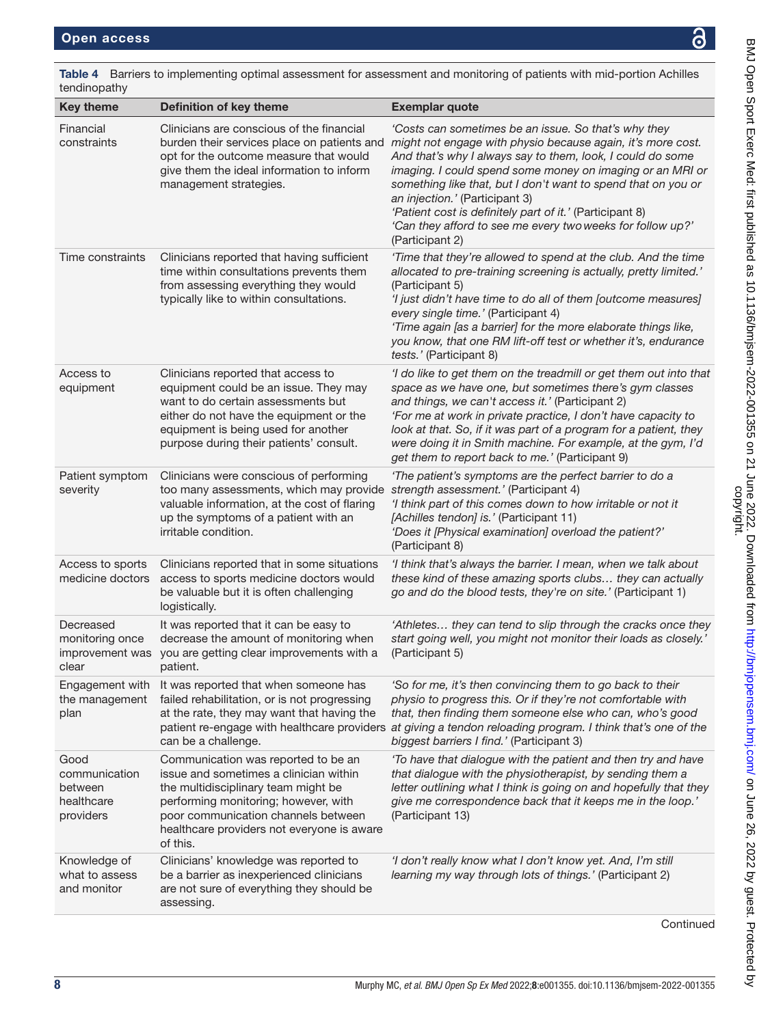| <b>Key theme</b>                                            | Definition of key theme                                                                                                                                                                                                                                       | <b>Exemplar quote</b>                                                                                                                                                                                                                                                                                                                                                                                                                                                                          |
|-------------------------------------------------------------|---------------------------------------------------------------------------------------------------------------------------------------------------------------------------------------------------------------------------------------------------------------|------------------------------------------------------------------------------------------------------------------------------------------------------------------------------------------------------------------------------------------------------------------------------------------------------------------------------------------------------------------------------------------------------------------------------------------------------------------------------------------------|
| Financial<br>constraints                                    | Clinicians are conscious of the financial<br>burden their services place on patients and<br>opt for the outcome measure that would<br>give them the ideal information to inform<br>management strategies.                                                     | 'Costs can sometimes be an issue. So that's why they<br>might not engage with physio because again, it's more cost.<br>And that's why I always say to them, look, I could do some<br>imaging. I could spend some money on imaging or an MRI or<br>something like that, but I don't want to spend that on you or<br>an injection.' (Participant 3)<br>'Patient cost is definitely part of it.' (Participant 8)<br>'Can they afford to see me every two weeks for follow up?'<br>(Participant 2) |
| Time constraints                                            | Clinicians reported that having sufficient<br>time within consultations prevents them<br>from assessing everything they would<br>typically like to within consultations.                                                                                      | 'Time that they're allowed to spend at the club. And the time<br>allocated to pre-training screening is actually, pretty limited.'<br>(Participant 5)<br>'I just didn't have time to do all of them [outcome measures]<br>every single time.' (Participant 4)<br>'Time again [as a barrier] for the more elaborate things like,<br>you know, that one RM lift-off test or whether it's, endurance<br>tests.' (Participant 8)                                                                   |
| Access to<br>equipment                                      | Clinicians reported that access to<br>equipment could be an issue. They may<br>want to do certain assessments but<br>either do not have the equipment or the<br>equipment is being used for another<br>purpose during their patients' consult.                | 'I do like to get them on the treadmill or get them out into that<br>space as we have one, but sometimes there's gym classes<br>and things, we can't access it.' (Participant 2)<br>'For me at work in private practice, I don't have capacity to<br>look at that. So, if it was part of a program for a patient, they<br>were doing it in Smith machine. For example, at the gym, I'd<br>get them to report back to me.' (Participant 9)                                                      |
| Patient symptom<br>severity                                 | Clinicians were conscious of performing<br>too many assessments, which may provide<br>valuable information, at the cost of flaring<br>up the symptoms of a patient with an<br>irritable condition.                                                            | 'The patient's symptoms are the perfect barrier to do a<br>strength assessment.' (Participant 4)<br>'I think part of this comes down to how irritable or not it<br>[Achilles tendon] is.' (Participant 11)<br>'Does it [Physical examination] overload the patient?'<br>(Participant 8)                                                                                                                                                                                                        |
| Access to sports<br>medicine doctors                        | Clinicians reported that in some situations<br>access to sports medicine doctors would<br>be valuable but it is often challenging<br>logistically.                                                                                                            | 'I think that's always the barrier. I mean, when we talk about<br>these kind of these amazing sports clubs they can actually<br>go and do the blood tests, they're on site.' (Participant 1)                                                                                                                                                                                                                                                                                                   |
| Decreased<br>monitoring once<br>improvement was<br>clear    | It was reported that it can be easy to<br>decrease the amount of monitoring when<br>you are getting clear improvements with a<br>patient.                                                                                                                     | 'Athletes they can tend to slip through the cracks once they<br>start going well, you might not monitor their loads as closely.'<br>(Participant 5)                                                                                                                                                                                                                                                                                                                                            |
| Engagement with<br>the management<br>plan                   | It was reported that when someone has<br>failed rehabilitation, or is not progressing<br>at the rate, they may want that having the<br>can be a challenge.                                                                                                    | 'So for me, it's then convincing them to go back to their<br>physio to progress this. Or if they're not comfortable with<br>that, then finding them someone else who can, who's good<br>patient re-engage with healthcare providers at giving a tendon reloading program. I think that's one of the<br>biggest barriers I find.' (Participant 3)                                                                                                                                               |
| Good<br>communication<br>between<br>healthcare<br>providers | Communication was reported to be an<br>issue and sometimes a clinician within<br>the multidisciplinary team might be<br>performing monitoring; however, with<br>poor communication channels between<br>healthcare providers not everyone is aware<br>of this. | 'To have that dialogue with the patient and then try and have<br>that dialogue with the physiotherapist, by sending them a<br>letter outlining what I think is going on and hopefully that they<br>give me correspondence back that it keeps me in the loop.'<br>(Participant 13)                                                                                                                                                                                                              |
| Knowledge of<br>what to assess<br>and monitor               | Clinicians' knowledge was reported to<br>be a barrier as inexperienced clinicians<br>are not sure of everything they should be<br>assessing.                                                                                                                  | 'I don't really know what I don't know yet. And, I'm still<br>learning my way through lots of things.' (Participant 2)                                                                                                                                                                                                                                                                                                                                                                         |

<span id="page-7-0"></span>Table 4 Barriers to implementing optimal assessment for assessment and monitoring of patients with mid-portion Achilles tendinopathy

**Continued**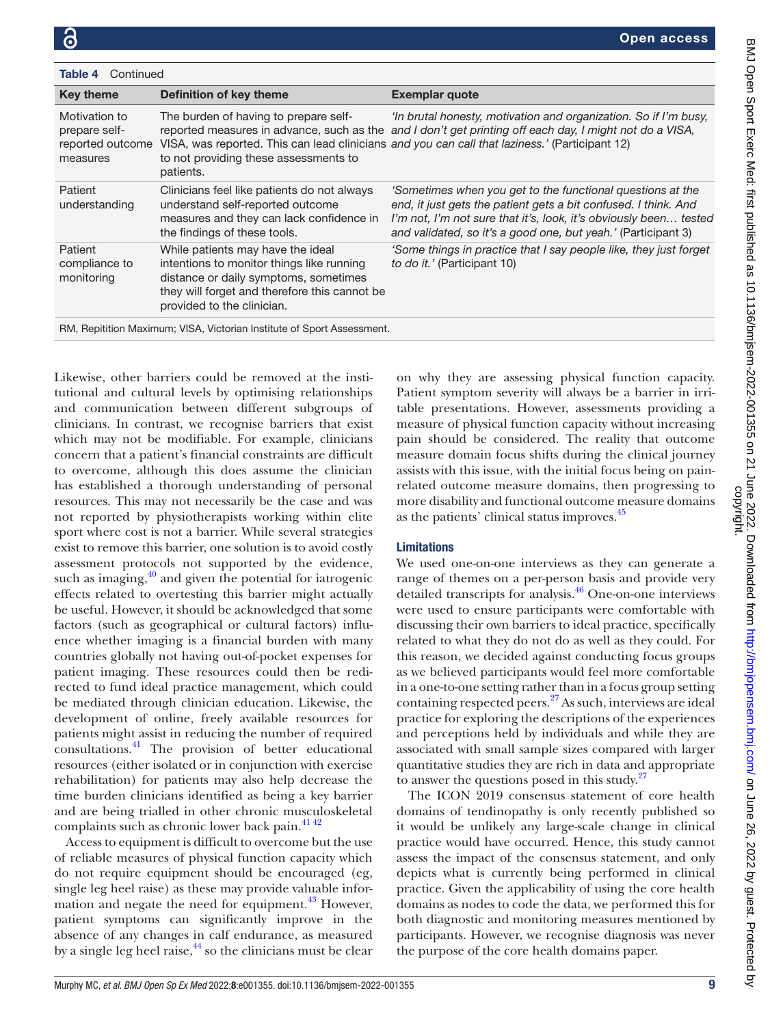| <b>Table 4</b> Continued                                               |                                                                                                                                                                                                        |                                                                                                                                                                                                                                                                               |  |  |
|------------------------------------------------------------------------|--------------------------------------------------------------------------------------------------------------------------------------------------------------------------------------------------------|-------------------------------------------------------------------------------------------------------------------------------------------------------------------------------------------------------------------------------------------------------------------------------|--|--|
| <b>Key theme</b>                                                       | Definition of key theme                                                                                                                                                                                | <b>Exemplar quote</b>                                                                                                                                                                                                                                                         |  |  |
| Motivation to<br>prepare self-<br>reported outcome<br>measures         | The burden of having to prepare self-<br>to not providing these assessments to<br>patients.                                                                                                            | 'In brutal honesty, motivation and organization. So if I'm busy,<br>reported measures in advance, such as the and I don't get printing off each day, I might not do a VISA,<br>VISA, was reported. This can lead clinicians and you can call that laziness.' (Participant 12) |  |  |
| Patient<br>understanding                                               | Clinicians feel like patients do not always<br>understand self-reported outcome<br>measures and they can lack confidence in<br>the findings of these tools.                                            | 'Sometimes when you get to the functional questions at the<br>end, it just gets the patient gets a bit confused. I think. And<br>I'm not, I'm not sure that it's, look, it's obviously been tested<br>and validated, so it's a good one, but yeah.' (Participant 3)           |  |  |
| Patient<br>compliance to<br>monitoring                                 | While patients may have the ideal<br>intentions to monitor things like running<br>distance or daily symptoms, sometimes<br>they will forget and therefore this cannot be<br>provided to the clinician. | 'Some things in practice that I say people like, they just forget<br>to do <i>it.'</i> (Participant 10)                                                                                                                                                                       |  |  |
| RM, Repitition Maximum; VISA, Victorian Institute of Sport Assessment. |                                                                                                                                                                                                        |                                                                                                                                                                                                                                                                               |  |  |

Likewise, other barriers could be removed at the institutional and cultural levels by optimising relationships and communication between different subgroups of clinicians. In contrast, we recognise barriers that exist which may not be modifiable. For example, clinicians concern that a patient's financial constraints are difficult to overcome, although this does assume the clinician has established a thorough understanding of personal resources. This may not necessarily be the case and was not reported by physiotherapists working within elite sport where cost is not a barrier. While several strategies exist to remove this barrier, one solution is to avoid costly assessment protocols not supported by the evidence, such as imaging, $\frac{40}{3}$  and given the potential for iatrogenic effects related to overtesting this barrier might actually be useful. However, it should be acknowledged that some factors (such as geographical or cultural factors) influence whether imaging is a financial burden with many countries globally not having out-of-pocket expenses for patient imaging. These resources could then be redirected to fund ideal practice management, which could be mediated through clinician education. Likewise, the development of online, freely available resources for patients might assist in reducing the number of required consultations.[41](#page-10-23) The provision of better educational resources (either isolated or in conjunction with exercise rehabilitation) for patients may also help decrease the time burden clinicians identified as being a key barrier and are being trialled in other chronic musculoskeletal complaints such as chronic lower back pain.<sup>41 42</sup>

Access to equipment is difficult to overcome but the use of reliable measures of physical function capacity which do not require equipment should be encouraged (eg, single leg heel raise) as these may provide valuable information and negate the need for equipment. $43$  However, patient symptoms can significantly improve in the absence of any changes in calf endurance, as measured by a single leg heel raise, $44$  so the clinicians must be clear

on why they are assessing physical function capacity. Patient symptom severity will always be a barrier in irritable presentations. However, assessments providing a measure of physical function capacity without increasing pain should be considered. The reality that outcome measure domain focus shifts during the clinical journey assists with this issue, with the initial focus being on painrelated outcome measure domains, then progressing to more disability and functional outcome measure domains as the patients' clinical status improves.[45](#page-10-26)

# Limitations

We used one-on-one interviews as they can generate a range of themes on a per-person basis and provide very detailed transcripts for analysis.[46](#page-10-27) One-on-one interviews were used to ensure participants were comfortable with discussing their own barriers to ideal practice, specifically related to what they do not do as well as they could. For this reason, we decided against conducting focus groups as we believed participants would feel more comfortable in a one-to-one setting rather than in a focus group setting containing respected peers. $27$  As such, interviews are ideal practice for exploring the descriptions of the experiences and perceptions held by individuals and while they are associated with small sample sizes compared with larger quantitative studies they are rich in data and appropriate to answer the questions posed in this study.<sup>[27](#page-10-28)</sup>

The ICON 2019 consensus statement of core health domains of tendinopathy is only recently published so it would be unlikely any large-scale change in clinical practice would have occurred. Hence, this study cannot assess the impact of the consensus statement, and only depicts what is currently being performed in clinical practice. Given the applicability of using the core health domains as nodes to code the data, we performed this for both diagnostic and monitoring measures mentioned by participants. However, we recognise diagnosis was never the purpose of the core health domains paper.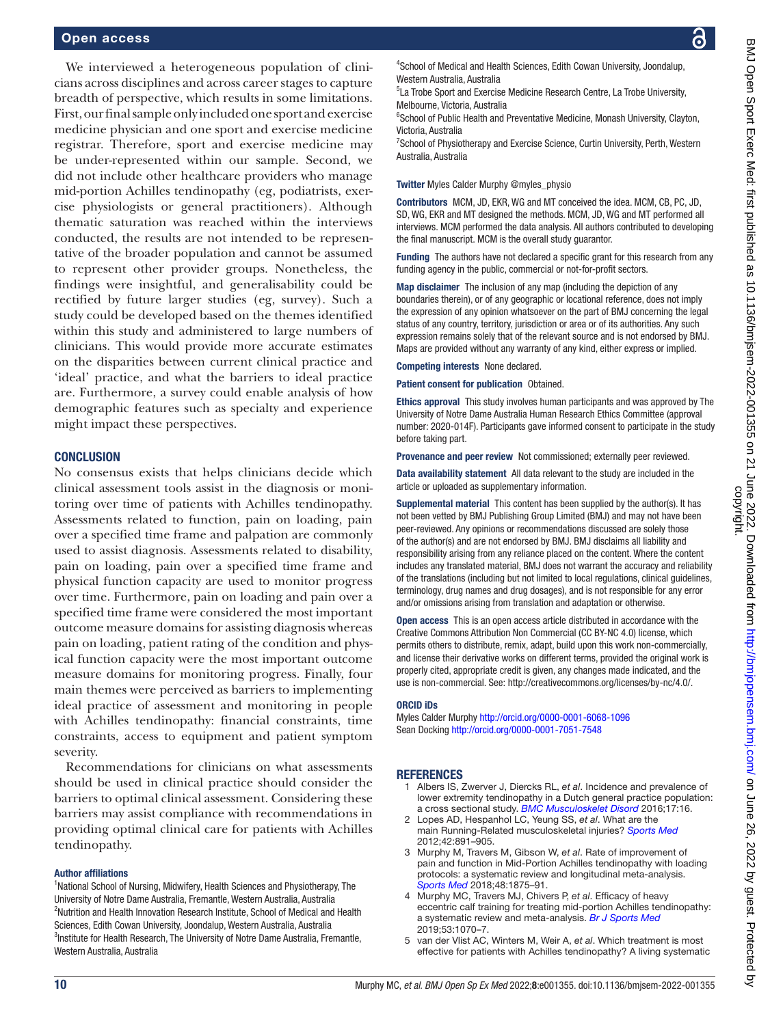We interviewed a heterogeneous population of clinicians across disciplines and across career stages to capture breadth of perspective, which results in some limitations. First, our final sample only included one sport and exercise medicine physician and one sport and exercise medicine registrar. Therefore, sport and exercise medicine may be under-represented within our sample. Second, we did not include other healthcare providers who manage mid-portion Achilles tendinopathy (eg, podiatrists, exercise physiologists or general practitioners). Although thematic saturation was reached within the interviews conducted, the results are not intended to be representative of the broader population and cannot be assumed to represent other provider groups. Nonetheless, the findings were insightful, and generalisability could be rectified by future larger studies (eg, survey). Such a study could be developed based on the themes identified within this study and administered to large numbers of clinicians. This would provide more accurate estimates on the disparities between current clinical practice and 'ideal' practice, and what the barriers to ideal practice are. Furthermore, a survey could enable analysis of how demographic features such as specialty and experience might impact these perspectives.

#### **CONCLUSION**

No consensus exists that helps clinicians decide which clinical assessment tools assist in the diagnosis or monitoring over time of patients with Achilles tendinopathy. Assessments related to function, pain on loading, pain over a specified time frame and palpation are commonly used to assist diagnosis. Assessments related to disability, pain on loading, pain over a specified time frame and physical function capacity are used to monitor progress over time. Furthermore, pain on loading and pain over a specified time frame were considered the most important outcome measure domains for assisting diagnosis whereas pain on loading, patient rating of the condition and physical function capacity were the most important outcome measure domains for monitoring progress. Finally, four main themes were perceived as barriers to implementing ideal practice of assessment and monitoring in people with Achilles tendinopathy: financial constraints, time constraints, access to equipment and patient symptom severity.

Recommendations for clinicians on what assessments should be used in clinical practice should consider the barriers to optimal clinical assessment. Considering these barriers may assist compliance with recommendations in providing optimal clinical care for patients with Achilles tendinopathy.

#### Author affiliations

<sup>1</sup>National School of Nursing, Midwifery, Health Sciences and Physiotherapy, The University of Notre Dame Australia, Fremantle, Western Australia, Australia <sup>2</sup>Nutrition and Health Innovation Research Institute, School of Medical and Health Sciences, Edith Cowan University, Joondalup, Western Australia, Australia <sup>3</sup>Institute for Health Research, The University of Notre Dame Australia, Fremantle, Western Australia, Australia

4 School of Medical and Health Sciences, Edith Cowan University, Joondalup, Western Australia, Australia

5 La Trobe Sport and Exercise Medicine Research Centre, La Trobe University, Melbourne, Victoria, Australia

<sup>6</sup>School of Public Health and Preventative Medicine, Monash University, Clayton, Victoria, Australia

<sup>7</sup> School of Physiotherapy and Exercise Science, Curtin University, Perth, Western Australia, Australia

Twitter Myles Calder Murphy [@myles\\_physio](https://twitter.com/myles_physio)

Contributors MCM, JD, EKR, WG and MT conceived the idea. MCM, CB, PC, JD, SD, WG, EKR and MT designed the methods. MCM, JD, WG and MT performed all interviews. MCM performed the data analysis. All authors contributed to developing the final manuscript. MCM is the overall study guarantor.

Funding The authors have not declared a specific grant for this research from any funding agency in the public, commercial or not-for-profit sectors.

Map disclaimer The inclusion of any map (including the depiction of any boundaries therein), or of any geographic or locational reference, does not imply the expression of any opinion whatsoever on the part of BMJ concerning the legal status of any country, territory, jurisdiction or area or of its authorities. Any such expression remains solely that of the relevant source and is not endorsed by BMJ. Maps are provided without any warranty of any kind, either express or implied.

Competing interests None declared.

Patient consent for publication Obtained.

Ethics approval This study involves human participants and was approved by The University of Notre Dame Australia Human Research Ethics Committee (approval number: 2020-014F). Participants gave informed consent to participate in the study before taking part.

Provenance and peer review Not commissioned; externally peer reviewed.

Data availability statement All data relevant to the study are included in the article or uploaded as supplementary information.

Supplemental material This content has been supplied by the author(s). It has not been vetted by BMJ Publishing Group Limited (BMJ) and may not have been peer-reviewed. Any opinions or recommendations discussed are solely those of the author(s) and are not endorsed by BMJ. BMJ disclaims all liability and responsibility arising from any reliance placed on the content. Where the content includes any translated material, BMJ does not warrant the accuracy and reliability of the translations (including but not limited to local regulations, clinical guidelines, terminology, drug names and drug dosages), and is not responsible for any error and/or omissions arising from translation and adaptation or otherwise.

Open access This is an open access article distributed in accordance with the Creative Commons Attribution Non Commercial (CC BY-NC 4.0) license, which permits others to distribute, remix, adapt, build upon this work non-commercially, and license their derivative works on different terms, provided the original work is properly cited, appropriate credit is given, any changes made indicated, and the use is non-commercial. See:<http://creativecommons.org/licenses/by-nc/4.0/>.

#### ORCID iDs

Myles Calder Murphy<http://orcid.org/0000-0001-6068-1096> Sean Docking <http://orcid.org/0000-0001-7051-7548>

#### REFERENCES

- <span id="page-9-0"></span>1 Albers IS, Zwerver J, Diercks RL, *et al*. Incidence and prevalence of lower extremity tendinopathy in a Dutch general practice population: a cross sectional study. *[BMC Musculoskelet Disord](http://dx.doi.org/10.1186/s12891-016-0885-2)* 2016;17:16.
- 2 Lopes AD, Hespanhol LC, Yeung SS, *et al*. What are the main Running-Related musculoskeletal injuries? *[Sports Med](http://dx.doi.org/10.1007/BF03262301)* 2012;42:891–905.
- <span id="page-9-1"></span>3 Murphy M, Travers M, Gibson W, *et al*. Rate of improvement of pain and function in Mid-Portion Achilles tendinopathy with loading protocols: a systematic review and longitudinal meta-analysis. *[Sports Med](http://dx.doi.org/10.1007/s40279-018-0932-2)* 2018;48:1875–91.
- 4 Murphy MC, Travers MJ, Chivers P, *et al*. Efficacy of heavy eccentric calf training for treating mid-portion Achilles tendinopathy: a systematic review and meta-analysis. *[Br J Sports Med](http://dx.doi.org/10.1136/bjsports-2018-099934)* 2019;53:1070–7.
- <span id="page-9-2"></span>5 van der Vlist AC, Winters M, Weir A, *et al*. Which treatment is most effective for patients with Achilles tendinopathy? A living systematic